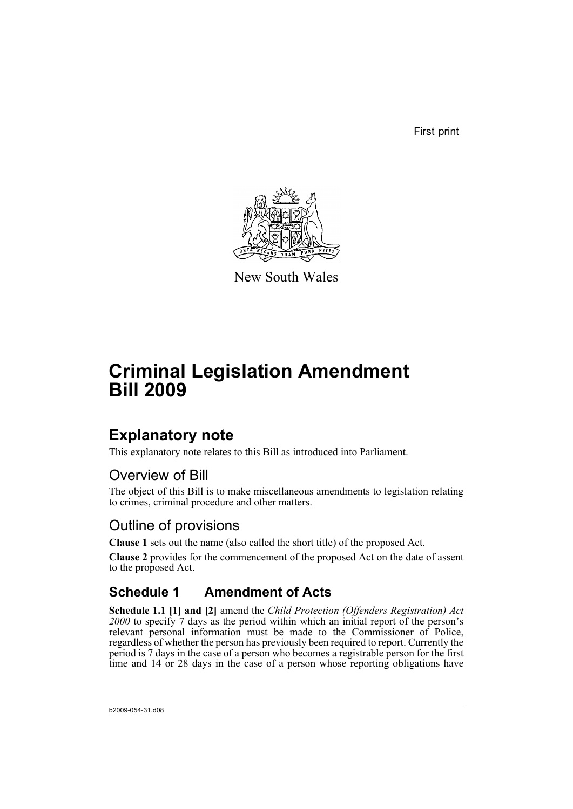First print



New South Wales

# **Criminal Legislation Amendment Bill 2009**

## **Explanatory note**

This explanatory note relates to this Bill as introduced into Parliament.

### Overview of Bill

The object of this Bill is to make miscellaneous amendments to legislation relating to crimes, criminal procedure and other matters.

### Outline of provisions

**Clause 1** sets out the name (also called the short title) of the proposed Act.

**Clause 2** provides for the commencement of the proposed Act on the date of assent to the proposed Act.

### **Schedule 1 Amendment of Acts**

**Schedule 1.1 [1] and [2]** amend the *Child Protection (Offenders Registration) Act 2000* to specify 7 days as the period within which an initial report of the person's relevant personal information must be made to the Commissioner of Police, regardless of whether the person has previously been required to report. Currently the period is 7 days in the case of a person who becomes a registrable person for the first time and 14 or 28 days in the case of a person whose reporting obligations have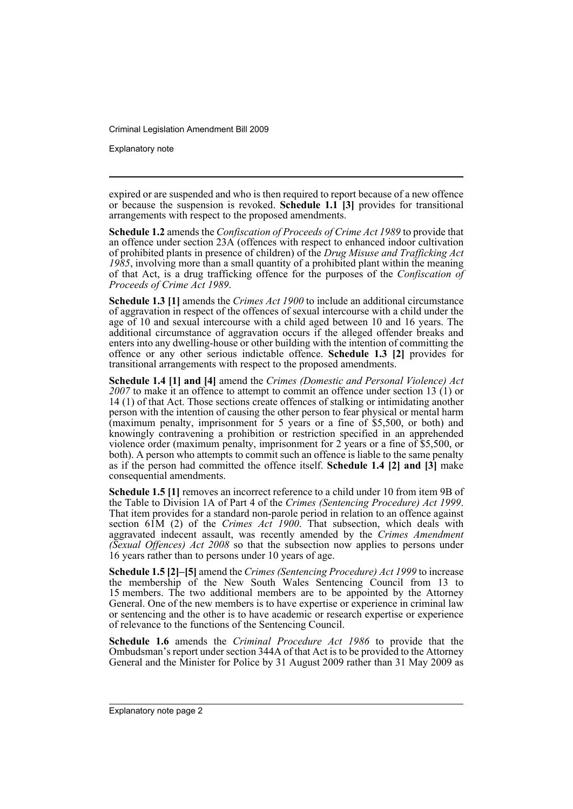Explanatory note

expired or are suspended and who is then required to report because of a new offence or because the suspension is revoked. **Schedule 1.1 [3]** provides for transitional arrangements with respect to the proposed amendments.

**Schedule 1.2** amends the *Confiscation of Proceeds of Crime Act 1989* to provide that an offence under section 23A (offences with respect to enhanced indoor cultivation of prohibited plants in presence of children) of the *Drug Misuse and Trafficking Act 1985*, involving more than a small quantity of a prohibited plant within the meaning of that Act, is a drug trafficking offence for the purposes of the *Confiscation of Proceeds of Crime Act 1989*.

**Schedule 1.3 [1]** amends the *Crimes Act 1900* to include an additional circumstance of aggravation in respect of the offences of sexual intercourse with a child under the age of 10 and sexual intercourse with a child aged between 10 and 16 years. The additional circumstance of aggravation occurs if the alleged offender breaks and enters into any dwelling-house or other building with the intention of committing the offence or any other serious indictable offence. **Schedule 1.3 [2]** provides for transitional arrangements with respect to the proposed amendments.

**Schedule 1.4 [1] and [4]** amend the *Crimes (Domestic and Personal Violence) Act 2007* to make it an offence to attempt to commit an offence under section 13 (1) or 14 (1) of that Act. Those sections create offences of stalking or intimidating another person with the intention of causing the other person to fear physical or mental harm (maximum penalty, imprisonment for 5 years or a fine of \$5,500, or both) and knowingly contravening a prohibition or restriction specified in an apprehended violence order (maximum penalty, imprisonment for 2 years or a fine of \$5,500, or both). A person who attempts to commit such an offence is liable to the same penalty as if the person had committed the offence itself. **Schedule 1.4 [2] and [3]** make consequential amendments.

**Schedule 1.5 [1]** removes an incorrect reference to a child under 10 from item 9B of the Table to Division 1A of Part 4 of the Crimes (Sentencing Procedure) Act 1999. That item provides for a standard non-parole period in relation to an offence against section 61M (2) of the *Crimes Act 1900*. That subsection, which deals with aggravated indecent assault, was recently amended by the *Crimes Amendment (Sexual Offences) Act 2008* so that the subsection now applies to persons under 16 years rather than to persons under 10 years of age.

**Schedule 1.5 [2]–[5]** amend the *Crimes (Sentencing Procedure) Act 1999* to increase the membership of the New South Wales Sentencing Council from 13 to 15 members. The two additional members are to be appointed by the Attorney General. One of the new members is to have expertise or experience in criminal law or sentencing and the other is to have academic or research expertise or experience of relevance to the functions of the Sentencing Council.

**Schedule 1.6** amends the *Criminal Procedure Act 1986* to provide that the Ombudsman's report under section 344A of that Act is to be provided to the Attorney General and the Minister for Police by 31 August 2009 rather than 31 May 2009 as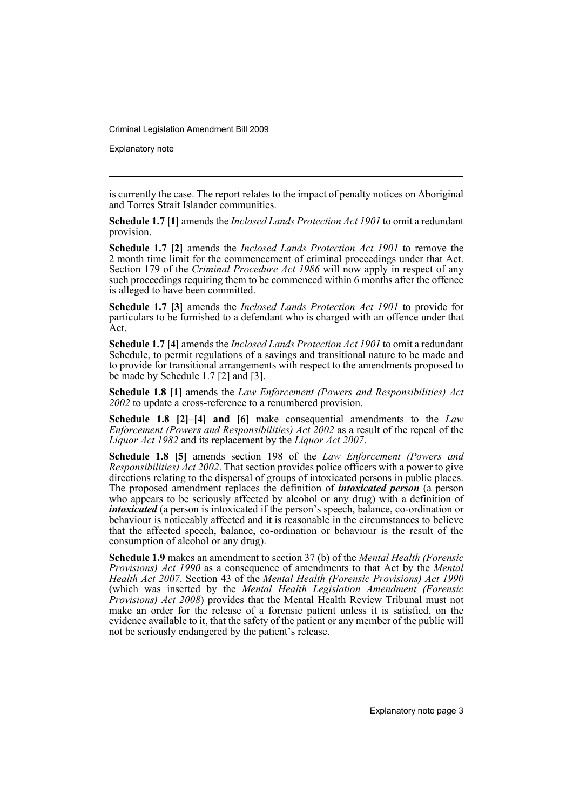Explanatory note

is currently the case. The report relates to the impact of penalty notices on Aboriginal and Torres Strait Islander communities.

**Schedule 1.7 [1]** amends the *Inclosed Lands Protection Act 1901* to omit a redundant provision.

**Schedule 1.7 [2]** amends the *Inclosed Lands Protection Act 1901* to remove the 2 month time limit for the commencement of criminal proceedings under that Act. Section 179 of the *Criminal Procedure Act 1986* will now apply in respect of any such proceedings requiring them to be commenced within 6 months after the offence is alleged to have been committed.

**Schedule 1.7 [3]** amends the *Inclosed Lands Protection Act 1901* to provide for particulars to be furnished to a defendant who is charged with an offence under that Act.

**Schedule 1.7 [4]** amends the *Inclosed Lands Protection Act 1901* to omit a redundant Schedule, to permit regulations of a savings and transitional nature to be made and to provide for transitional arrangements with respect to the amendments proposed to be made by Schedule 1.7 [2] and [3].

**Schedule 1.8 [1]** amends the *Law Enforcement (Powers and Responsibilities) Act 2002* to update a cross-reference to a renumbered provision.

**Schedule 1.8 [2]–[4] and [6]** make consequential amendments to the *Law Enforcement (Powers and Responsibilities) Act 2002* as a result of the repeal of the *Liquor Act 1982* and its replacement by the *Liquor Act 2007*.

**Schedule 1.8 [5]** amends section 198 of the *Law Enforcement (Powers and Responsibilities) Act 2002*. That section provides police officers with a power to give directions relating to the dispersal of groups of intoxicated persons in public places. The proposed amendment replaces the definition of *intoxicated person* (a person who appears to be seriously affected by alcohol or any drug) with a definition of *intoxicated* (a person is intoxicated if the person's speech, balance, co-ordination or behaviour is noticeably affected and it is reasonable in the circumstances to believe that the affected speech, balance, co-ordination or behaviour is the result of the consumption of alcohol or any drug).

**Schedule 1.9** makes an amendment to section 37 (b) of the *Mental Health (Forensic Provisions) Act 1990* as a consequence of amendments to that Act by the *Mental Health Act 2007*. Section 43 of the *Mental Health (Forensic Provisions) Act 1990* (which was inserted by the *Mental Health Legislation Amendment (Forensic Provisions) Act 2008*) provides that the Mental Health Review Tribunal must not make an order for the release of a forensic patient unless it is satisfied, on the evidence available to it, that the safety of the patient or any member of the public will not be seriously endangered by the patient's release.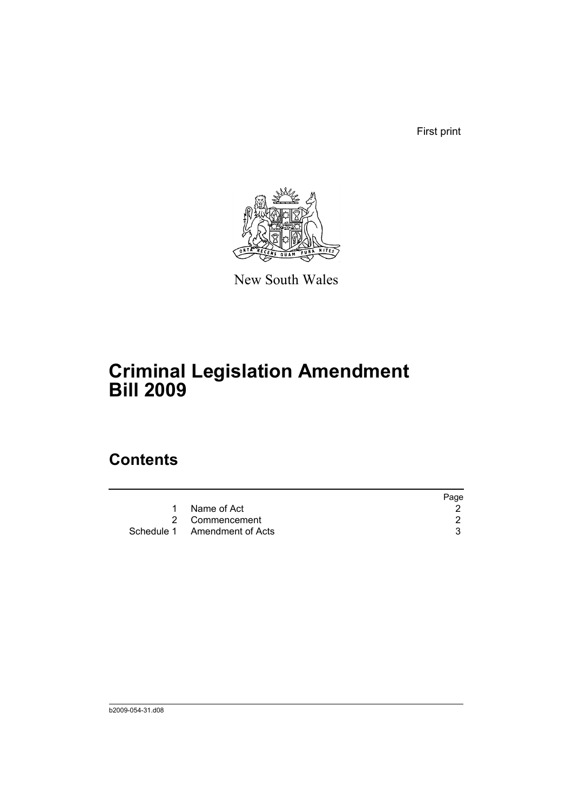First print



New South Wales

# **Criminal Legislation Amendment Bill 2009**

## **Contents**

|                              | Page |
|------------------------------|------|
| Name of Act                  |      |
| 2 Commencement               |      |
| Schedule 1 Amendment of Acts |      |
|                              |      |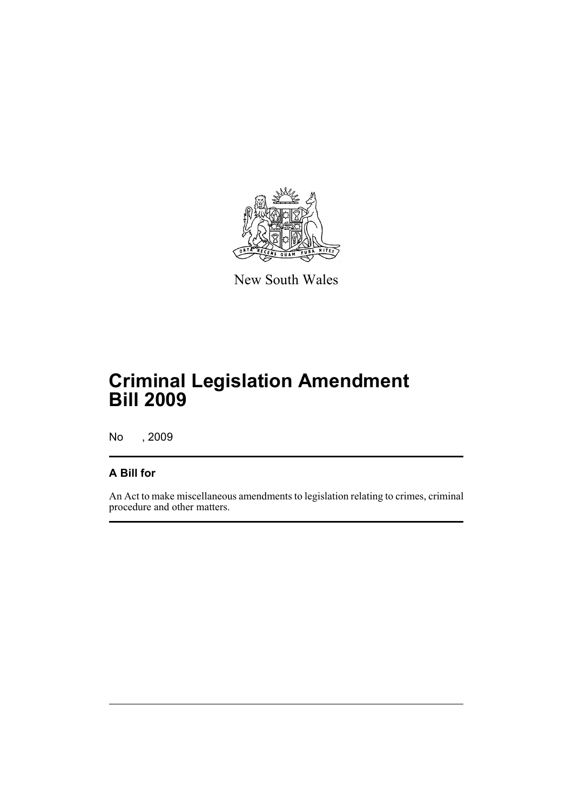

New South Wales

## **Criminal Legislation Amendment Bill 2009**

No , 2009

#### **A Bill for**

An Act to make miscellaneous amendments to legislation relating to crimes, criminal procedure and other matters.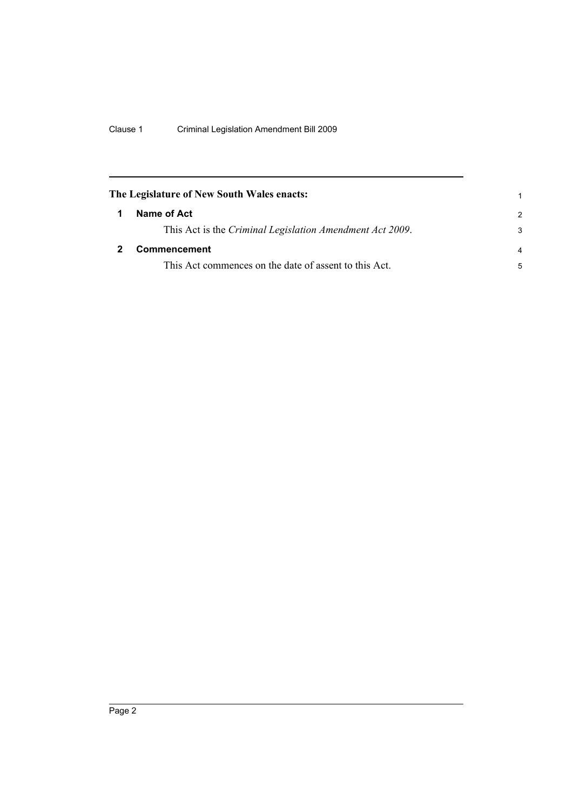<span id="page-7-1"></span><span id="page-7-0"></span>

|   | The Legislature of New South Wales enacts:               |                |
|---|----------------------------------------------------------|----------------|
| 1 | Name of Act                                              | $\mathcal{P}$  |
|   | This Act is the Criminal Legislation Amendment Act 2009. | 3              |
|   | <b>Commencement</b>                                      | $\overline{a}$ |
|   | This Act commences on the date of assent to this Act.    | 5              |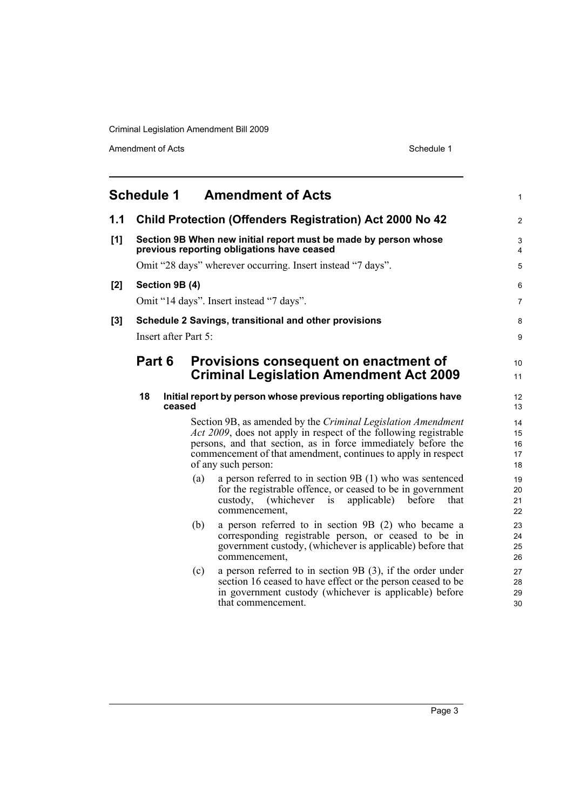Amendment of Acts Schedule 1

<span id="page-8-0"></span>

|     | <b>Schedule 1</b>                                                                                             |        | <b>Amendment of Acts</b>                                                                                                                                                                                                                                                                          | 1                          |
|-----|---------------------------------------------------------------------------------------------------------------|--------|---------------------------------------------------------------------------------------------------------------------------------------------------------------------------------------------------------------------------------------------------------------------------------------------------|----------------------------|
| 1.1 |                                                                                                               |        | <b>Child Protection (Offenders Registration) Act 2000 No 42</b>                                                                                                                                                                                                                                   | $\overline{2}$             |
| [1] | Section 9B When new initial report must be made by person whose<br>previous reporting obligations have ceased |        |                                                                                                                                                                                                                                                                                                   | 3<br>4                     |
|     | Omit "28 days" wherever occurring. Insert instead "7 days".                                                   |        |                                                                                                                                                                                                                                                                                                   |                            |
| [2] | Section 9B (4)                                                                                                |        |                                                                                                                                                                                                                                                                                                   | 6                          |
|     |                                                                                                               |        | Omit "14 days". Insert instead "7 days".                                                                                                                                                                                                                                                          | 7                          |
| [3] |                                                                                                               |        | Schedule 2 Savings, transitional and other provisions                                                                                                                                                                                                                                             | 8                          |
|     | Insert after Part 5:                                                                                          |        |                                                                                                                                                                                                                                                                                                   | 9                          |
|     | Part 6                                                                                                        |        | Provisions consequent on enactment of                                                                                                                                                                                                                                                             | 10                         |
|     |                                                                                                               |        | <b>Criminal Legislation Amendment Act 2009</b>                                                                                                                                                                                                                                                    | 11                         |
|     | 18                                                                                                            | ceased | Initial report by person whose previous reporting obligations have                                                                                                                                                                                                                                | 12<br>13                   |
|     |                                                                                                               |        | Section 9B, as amended by the Criminal Legislation Amendment<br><i>Act 2009</i> , does not apply in respect of the following registrable<br>persons, and that section, as in force immediately before the<br>commencement of that amendment, continues to apply in respect<br>of any such person: | 14<br>15<br>16<br>17<br>18 |
|     |                                                                                                               | (a)    | a person referred to in section 9B (1) who was sentenced<br>for the registrable offence, or ceased to be in government<br>(whichever)<br>applicable)<br>custody,<br>before<br>that<br>1S<br>commencement,                                                                                         | 19<br>20<br>21<br>22       |
|     |                                                                                                               | (b)    | a person referred to in section 9B (2) who became a<br>corresponding registrable person, or ceased to be in<br>government custody, (whichever is applicable) before that<br>commencement,                                                                                                         | 23<br>24<br>25<br>26       |
|     |                                                                                                               | (c)    | a person referred to in section $9B(3)$ , if the order under<br>section 16 ceased to have effect or the person ceased to be<br>in government custody (whichever is applicable) before<br>that commencement.                                                                                       | 27<br>28<br>29<br>30       |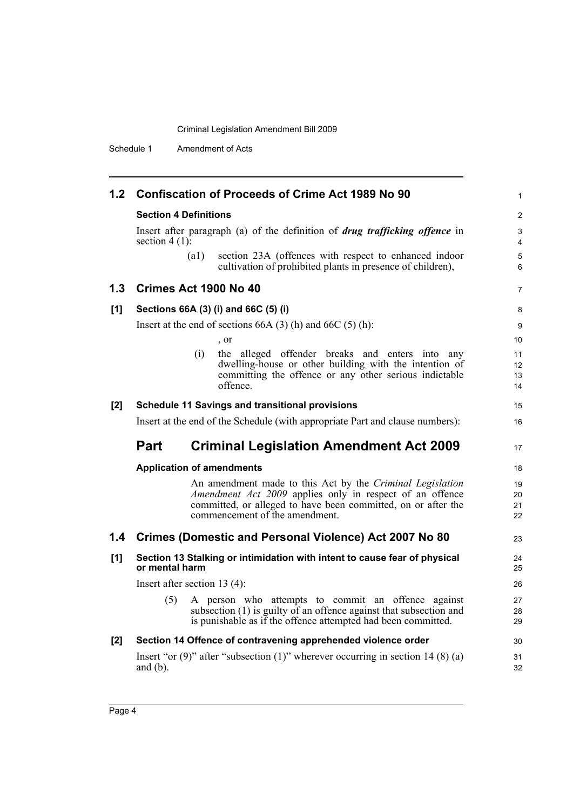Schedule 1 Amendment of Acts

|     |                                  | 1.2 Confiscation of Proceeds of Crime Act 1989 No 90                                                                                                                                      | $\mathbf{1}$         |
|-----|----------------------------------|-------------------------------------------------------------------------------------------------------------------------------------------------------------------------------------------|----------------------|
|     | <b>Section 4 Definitions</b>     |                                                                                                                                                                                           | $\overline{2}$       |
|     | section $4(1)$ :                 | Insert after paragraph (a) of the definition of <i>drug trafficking offence</i> in                                                                                                        | 3<br>4               |
|     | $\left( a1\right)$               | section 23A (offences with respect to enhanced indoor<br>cultivation of prohibited plants in presence of children),                                                                       | 5<br>6               |
| 1.3 | Crimes Act 1900 No 40            |                                                                                                                                                                                           | $\overline{7}$       |
| [1] |                                  | Sections 66A (3) (i) and 66C (5) (i)                                                                                                                                                      | 8                    |
|     |                                  | Insert at the end of sections $66A(3)$ (h) and $66C(5)$ (h):                                                                                                                              | 9                    |
|     |                                  | , or                                                                                                                                                                                      | 10                   |
|     | (i)                              | the alleged offender breaks and enters into any<br>dwelling-house or other building with the intention of<br>committing the offence or any other serious indictable<br>offence.           | 11<br>12<br>13<br>14 |
| [2] |                                  | <b>Schedule 11 Savings and transitional provisions</b>                                                                                                                                    | 15                   |
|     |                                  | Insert at the end of the Schedule (with appropriate Part and clause numbers):                                                                                                             | 16                   |
|     | <b>Part</b>                      | <b>Criminal Legislation Amendment Act 2009</b>                                                                                                                                            | 17                   |
|     | <b>Application of amendments</b> |                                                                                                                                                                                           | 18                   |
|     |                                  | An amendment made to this Act by the Criminal Legislation                                                                                                                                 |                      |
|     |                                  | Amendment Act 2009 applies only in respect of an offence<br>committed, or alleged to have been committed, on or after the<br>commencement of the amendment.                               | 19<br>20<br>21<br>22 |
|     |                                  | 1.4 Crimes (Domestic and Personal Violence) Act 2007 No 80                                                                                                                                | 23                   |
| [1] | or mental harm                   | Section 13 Stalking or intimidation with intent to cause fear of physical                                                                                                                 | 24<br>25             |
|     | Insert after section 13 $(4)$ :  |                                                                                                                                                                                           | 26                   |
|     | (5)                              | A person who attempts to commit an offence against<br>subsection (1) is guilty of an offence against that subsection and<br>is punishable as if the offence attempted had been committed. | 27<br>28<br>29       |
| [2] |                                  | Section 14 Offence of contravening apprehended violence order                                                                                                                             | 30                   |
|     | and $(b)$ .                      | Insert "or $(9)$ " after "subsection $(1)$ " wherever occurring in section 14 $(8)$ (a)                                                                                                   | 31<br>32             |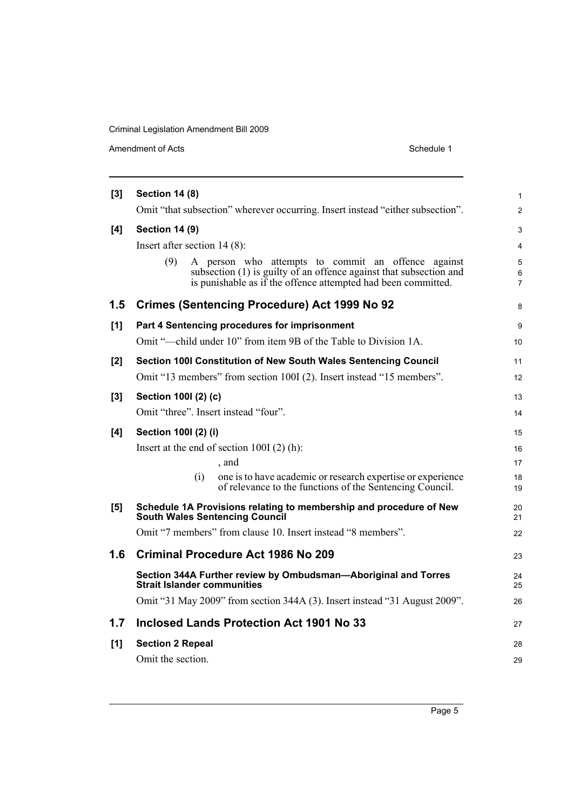Amendment of Acts Schedule 1

| [3]   | <b>Section 14 (8)</b>                                                                                                                                                                            |                |  |  |  |
|-------|--------------------------------------------------------------------------------------------------------------------------------------------------------------------------------------------------|----------------|--|--|--|
|       | Omit "that subsection" wherever occurring. Insert instead "either subsection".                                                                                                                   | $\overline{c}$ |  |  |  |
| [4]   | <b>Section 14 (9)</b>                                                                                                                                                                            |                |  |  |  |
|       | Insert after section $14(8)$ :                                                                                                                                                                   | 4              |  |  |  |
|       | (9)<br>A person who attempts to commit an offence against<br>subsection (1) is guilty of an offence against that subsection and<br>is punishable as if the offence attempted had been committed. | 5<br>6<br>7    |  |  |  |
| 1.5   | <b>Crimes (Sentencing Procedure) Act 1999 No 92</b>                                                                                                                                              | 8              |  |  |  |
| [1]   | Part 4 Sentencing procedures for imprisonment                                                                                                                                                    | 9              |  |  |  |
|       | Omit "—child under 10" from item 9B of the Table to Division 1A.                                                                                                                                 | 10             |  |  |  |
| $[2]$ | Section 100I Constitution of New South Wales Sentencing Council                                                                                                                                  | 11             |  |  |  |
|       | Omit "13 members" from section 100I (2). Insert instead "15 members".                                                                                                                            | 12             |  |  |  |
| [3]   | Section 1001 (2) (c)                                                                                                                                                                             | 13             |  |  |  |
|       | Omit "three". Insert instead "four".                                                                                                                                                             | 14             |  |  |  |
| [4]   | Section 1001 (2) (i)                                                                                                                                                                             | 15             |  |  |  |
|       | Insert at the end of section $100I(2)$ (h):                                                                                                                                                      | 16             |  |  |  |
|       | , and                                                                                                                                                                                            | 17             |  |  |  |
|       | (i)<br>one is to have academic or research expertise or experience<br>of relevance to the functions of the Sentencing Council.                                                                   | 18<br>19       |  |  |  |
| [5]   | Schedule 1A Provisions relating to membership and procedure of New<br><b>South Wales Sentencing Council</b>                                                                                      | 20<br>21       |  |  |  |
|       | Omit "7 members" from clause 10. Insert instead "8 members".                                                                                                                                     | 22             |  |  |  |
| 1.6   | <b>Criminal Procedure Act 1986 No 209</b>                                                                                                                                                        | 23             |  |  |  |
|       | Section 344A Further review by Ombudsman-Aboriginal and Torres<br><b>Strait Islander communities</b>                                                                                             | 24<br>25       |  |  |  |
|       | Omit "31 May 2009" from section 344A (3). Insert instead "31 August 2009".                                                                                                                       | 26             |  |  |  |
| 1.7   | Inclosed Lands Protection Act 1901 No 33                                                                                                                                                         | 27             |  |  |  |
| [1]   | <b>Section 2 Repeal</b>                                                                                                                                                                          | 28             |  |  |  |
|       | Omit the section.                                                                                                                                                                                | 29             |  |  |  |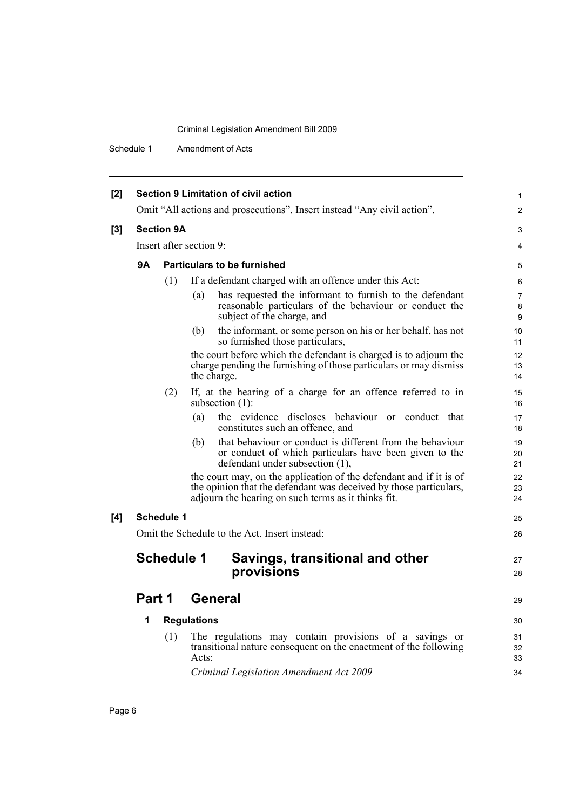Schedule 1 Amendment of Acts

| [2] | <b>Section 9 Limitation of civil action</b>                             |     |                                                                                                                                                                                                | 1              |
|-----|-------------------------------------------------------------------------|-----|------------------------------------------------------------------------------------------------------------------------------------------------------------------------------------------------|----------------|
|     | Omit "All actions and prosecutions". Insert instead "Any civil action". |     |                                                                                                                                                                                                |                |
| [3] | <b>Section 9A</b>                                                       |     |                                                                                                                                                                                                | 3              |
|     | Insert after section 9:                                                 |     |                                                                                                                                                                                                |                |
|     | <b>9A</b>                                                               |     | <b>Particulars to be furnished</b>                                                                                                                                                             |                |
|     |                                                                         | (1) | If a defendant charged with an offence under this Act:                                                                                                                                         | 6              |
|     |                                                                         |     | has requested the informant to furnish to the defendant<br>(a)<br>reasonable particulars of the behaviour or conduct the<br>subject of the charge, and                                         | 7<br>8<br>9    |
|     |                                                                         |     | the informant, or some person on his or her behalf, has not<br>(b)<br>so furnished those particulars,                                                                                          | 10<br>11       |
|     |                                                                         |     | the court before which the defendant is charged is to adjourn the<br>charge pending the furnishing of those particulars or may dismiss<br>the charge.                                          | 12<br>13<br>14 |
|     |                                                                         | (2) | If, at the hearing of a charge for an offence referred to in<br>subsection $(1)$ :                                                                                                             | 15<br>16       |
|     |                                                                         |     | the evidence discloses behaviour or conduct that<br>(a)<br>constitutes such an offence, and                                                                                                    | 17<br>18       |
|     |                                                                         |     | that behaviour or conduct is different from the behaviour<br>(b)<br>or conduct of which particulars have been given to the<br>defendant under subsection (1),                                  | 19<br>20<br>21 |
|     |                                                                         |     | the court may, on the application of the defendant and if it is of<br>the opinion that the defendant was deceived by those particulars,<br>adjourn the hearing on such terms as it thinks fit. | 22<br>23<br>24 |
| [4] | <b>Schedule 1</b>                                                       |     |                                                                                                                                                                                                | 25             |
|     |                                                                         |     | Omit the Schedule to the Act. Insert instead:                                                                                                                                                  | 26             |
|     | <b>Schedule 1</b>                                                       |     | Savings, transitional and other<br>provisions                                                                                                                                                  | 27<br>28       |
|     |                                                                         |     |                                                                                                                                                                                                |                |
|     | Part 1                                                                  |     | <b>General</b>                                                                                                                                                                                 | 29             |
|     | 1                                                                       |     | <b>Regulations</b>                                                                                                                                                                             | 30             |
|     |                                                                         | (1) | The regulations may contain provisions of a savings or<br>transitional nature consequent on the enactment of the following<br>Acts:                                                            | 31<br>32<br>33 |
|     |                                                                         |     | Criminal Legislation Amendment Act 2009                                                                                                                                                        | 34             |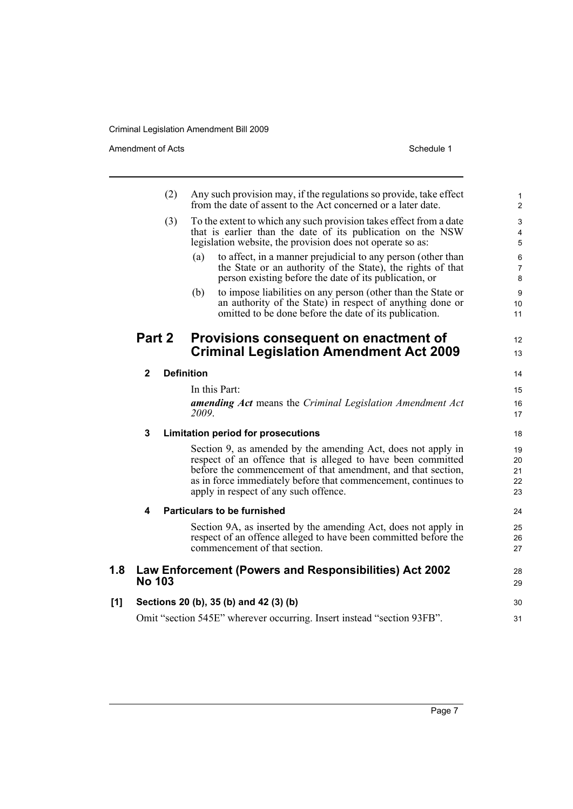Amendment of Acts Schedule 1

|     |               | (2)               | Any such provision may, if the regulations so provide, take effect<br>from the date of assent to the Act concerned or a later date.                                                                                                                                                                     | $\mathbf{1}$<br>$\overline{2}$ |
|-----|---------------|-------------------|---------------------------------------------------------------------------------------------------------------------------------------------------------------------------------------------------------------------------------------------------------------------------------------------------------|--------------------------------|
|     | (3)           |                   | To the extent to which any such provision takes effect from a date<br>that is earlier than the date of its publication on the NSW<br>legislation website, the provision does not operate so as:                                                                                                         | 3<br>4<br>$\sqrt{5}$           |
|     |               |                   | to affect, in a manner prejudicial to any person (other than<br>(a)<br>the State or an authority of the State), the rights of that<br>person existing before the date of its publication, or                                                                                                            | 6<br>$\overline{7}$<br>8       |
|     |               |                   | (b)<br>to impose liabilities on any person (other than the State or<br>an authority of the State) in respect of anything done or<br>omitted to be done before the date of its publication.                                                                                                              | $\boldsymbol{9}$<br>10<br>11   |
|     | Part 2        |                   | Provisions consequent on enactment of<br><b>Criminal Legislation Amendment Act 2009</b>                                                                                                                                                                                                                 | 12<br>13                       |
|     | $\mathbf{2}$  | <b>Definition</b> |                                                                                                                                                                                                                                                                                                         | 14                             |
|     |               |                   | In this Part:                                                                                                                                                                                                                                                                                           | 15                             |
|     |               |                   | amending Act means the Criminal Legislation Amendment Act<br>2009.                                                                                                                                                                                                                                      | 16<br>17                       |
|     | 3             |                   | <b>Limitation period for prosecutions</b>                                                                                                                                                                                                                                                               | 18                             |
|     |               |                   | Section 9, as amended by the amending Act, does not apply in<br>respect of an offence that is alleged to have been committed<br>before the commencement of that amendment, and that section,<br>as in force immediately before that commencement, continues to<br>apply in respect of any such offence. | 19<br>20<br>21<br>22<br>23     |
|     | 4             |                   | <b>Particulars to be furnished</b>                                                                                                                                                                                                                                                                      | 24                             |
|     |               |                   | Section 9A, as inserted by the amending Act, does not apply in<br>respect of an offence alleged to have been committed before the<br>commencement of that section.                                                                                                                                      | 25<br>26<br>27                 |
| 1.8 | <b>No 103</b> |                   | Law Enforcement (Powers and Responsibilities) Act 2002                                                                                                                                                                                                                                                  | 28<br>29                       |
| [1] |               |                   | Sections 20 (b), 35 (b) and 42 (3) (b)                                                                                                                                                                                                                                                                  | 30                             |
|     |               |                   | Omit "section 545E" wherever occurring. Insert instead "section 93FB".                                                                                                                                                                                                                                  | 31                             |